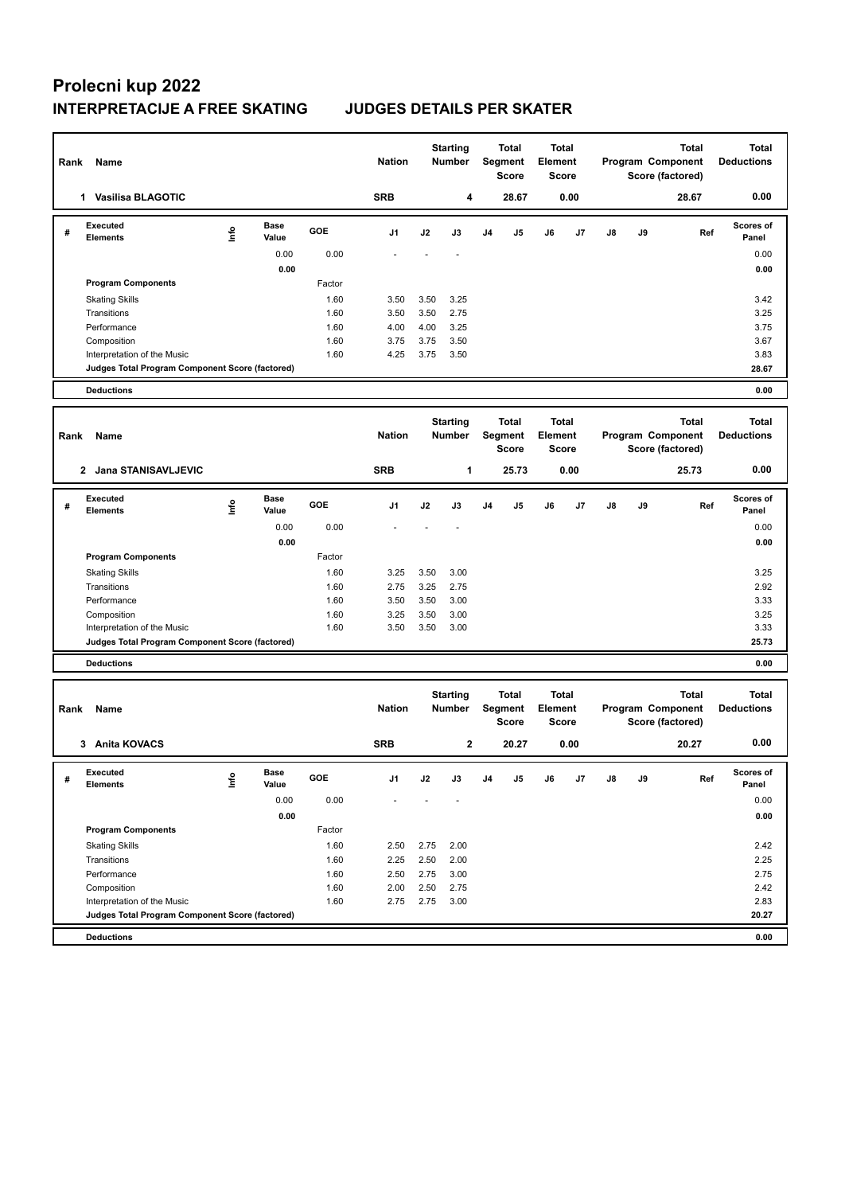## **Prolecni kup 2022 INTERPRETACIJE A FREE SKATING JUDGES DETAILS PER SKATER**

| Rank | Name                                            |      |                      |              | <b>Nation</b> |              | <b>Starting</b><br><b>Number</b> |                | <b>Total</b><br>Segment<br>Score | Total<br><b>Element</b>                 | Score |    |    | <b>Total</b><br>Program Component<br>Score (factored) | <b>Total</b><br><b>Deductions</b> |
|------|-------------------------------------------------|------|----------------------|--------------|---------------|--------------|----------------------------------|----------------|----------------------------------|-----------------------------------------|-------|----|----|-------------------------------------------------------|-----------------------------------|
|      | 1 Vasilisa BLAGOTIC                             |      |                      |              | <b>SRB</b>    |              | 4                                |                | 28.67                            |                                         | 0.00  |    |    | 28.67                                                 | 0.00                              |
| #    | <b>Executed</b><br><b>Elements</b>              | lnfo | <b>Base</b><br>Value | GOE          | J1            | J2           | J3                               | J <sub>4</sub> | J5                               | J6                                      | J7    | J8 | J9 | Ref                                                   | <b>Scores of</b><br>Panel         |
|      |                                                 |      | 0.00                 | 0.00         |               |              |                                  |                |                                  |                                         |       |    |    |                                                       | 0.00                              |
|      |                                                 |      | 0.00                 |              |               |              |                                  |                |                                  |                                         |       |    |    |                                                       | 0.00                              |
|      | <b>Program Components</b>                       |      |                      | Factor       |               |              |                                  |                |                                  |                                         |       |    |    |                                                       |                                   |
|      | <b>Skating Skills</b><br>Transitions            |      |                      | 1.60<br>1.60 | 3.50<br>3.50  | 3.50<br>3.50 | 3.25<br>2.75                     |                |                                  |                                         |       |    |    |                                                       | 3.42<br>3.25                      |
|      | Performance                                     |      |                      | 1.60         | 4.00          | 4.00         | 3.25                             |                |                                  |                                         |       |    |    |                                                       | 3.75                              |
|      | Composition                                     |      |                      | 1.60         | 3.75          | 3.75         | 3.50                             |                |                                  |                                         |       |    |    |                                                       | 3.67                              |
|      | Interpretation of the Music                     |      |                      | 1.60         | 4.25          | 3.75         | 3.50                             |                |                                  |                                         |       |    |    |                                                       | 3.83                              |
|      | Judges Total Program Component Score (factored) |      |                      |              |               |              |                                  |                |                                  |                                         |       |    |    |                                                       | 28.67                             |
|      | <b>Deductions</b>                               |      |                      |              |               |              |                                  |                |                                  |                                         |       |    |    |                                                       | 0.00                              |
| Rank | Name                                            |      |                      |              | <b>Nation</b> |              | <b>Starting</b><br><b>Number</b> |                | <b>Total</b><br>Segment<br>Score | <b>Total</b><br>Element                 | Score |    |    | <b>Total</b><br>Program Component<br>Score (factored) | <b>Total</b><br><b>Deductions</b> |
|      | 2 Jana STANISAVLJEVIC                           |      |                      |              | <b>SRB</b>    |              | 1                                |                | 25.73                            |                                         | 0.00  |    |    | 25.73                                                 | 0.00                              |
| #    | <b>Executed</b><br><b>Elements</b>              | Info | Base<br>Value        | GOE          | J1            | J2           | J3                               | J4             | J5                               | J6                                      | J7    | J8 | J9 | Ref                                                   | <b>Scores of</b><br>Panel         |
|      |                                                 |      | 0.00                 | 0.00         |               |              |                                  |                |                                  |                                         |       |    |    |                                                       | 0.00                              |
|      |                                                 |      | 0.00                 |              |               |              |                                  |                |                                  |                                         |       |    |    |                                                       | 0.00                              |
|      | <b>Program Components</b>                       |      |                      | Factor       |               |              |                                  |                |                                  |                                         |       |    |    |                                                       |                                   |
|      | <b>Skating Skills</b>                           |      |                      | 1.60         | 3.25          | 3.50         | 3.00                             |                |                                  |                                         |       |    |    |                                                       | 3.25                              |
|      | Transitions<br>Performance                      |      |                      | 1.60<br>1.60 | 2.75<br>3.50  | 3.25<br>3.50 | 2.75<br>3.00                     |                |                                  |                                         |       |    |    |                                                       | 2.92<br>3.33                      |
|      | Composition                                     |      |                      | 1.60         | 3.25          | 3.50         | 3.00                             |                |                                  |                                         |       |    |    |                                                       | 3.25                              |
|      | Interpretation of the Music                     |      |                      | 1.60         | 3.50          | 3.50         | 3.00                             |                |                                  |                                         |       |    |    |                                                       | 3.33                              |
|      | Judges Total Program Component Score (factored) |      |                      |              |               |              |                                  |                |                                  |                                         |       |    |    |                                                       | 25.73                             |
|      | <b>Deductions</b>                               |      |                      |              |               |              |                                  |                |                                  |                                         |       |    |    |                                                       | 0.00                              |
| Rank | Name                                            |      |                      |              | <b>Nation</b> |              | <b>Starting</b><br><b>Number</b> |                | <b>Total</b><br>Segment<br>Score | <b>Total</b><br>Element<br><b>Score</b> |       |    |    | <b>Total</b><br>Program Component<br>Score (factored) | <b>Total</b><br><b>Deductions</b> |
|      | 3 Anita KOVACS                                  |      |                      |              | <b>SRB</b>    |              | $\mathbf{2}$                     |                | 20.27                            |                                         | 0.00  |    |    | 20.27                                                 | 0.00                              |
| #    | Executed<br><b>Elements</b>                     | ١nf٥ | Base<br>Value        | GOE          | J1            | J2           | J3                               | J4             | J5                               | J6                                      | J7    | J8 | J9 | Ref                                                   | <b>Scores of</b><br>Panel         |
|      |                                                 |      | 0.00                 | 0.00         |               |              |                                  |                |                                  |                                         |       |    |    |                                                       | 0.00                              |
|      |                                                 |      | 0.00                 |              |               |              |                                  |                |                                  |                                         |       |    |    |                                                       | 0.00                              |
|      | <b>Program Components</b>                       |      |                      | Factor       |               |              |                                  |                |                                  |                                         |       |    |    |                                                       |                                   |
|      | <b>Skating Skills</b>                           |      |                      | 1.60         | 2.50          | 2.75         | 2.00                             |                |                                  |                                         |       |    |    |                                                       | 2.42                              |
|      | Transitions<br>Performance                      |      |                      | 1.60<br>1.60 | 2.25<br>2.50  | 2.50<br>2.75 | 2.00<br>3.00                     |                |                                  |                                         |       |    |    |                                                       | 2.25<br>2.75                      |
|      | Composition                                     |      |                      | 1.60         | 2.00          | 2.50         | 2.75                             |                |                                  |                                         |       |    |    |                                                       | 2.42                              |
|      | Interpretation of the Music                     |      |                      | 1.60         | 2.75          | 2.75         | 3.00                             |                |                                  |                                         |       |    |    |                                                       | 2.83                              |
|      | Judges Total Program Component Score (factored) |      |                      |              |               |              |                                  |                |                                  |                                         |       |    |    |                                                       | 20.27                             |
|      | <b>Deductions</b>                               |      |                      |              |               |              |                                  |                |                                  |                                         |       |    |    |                                                       | 0.00                              |